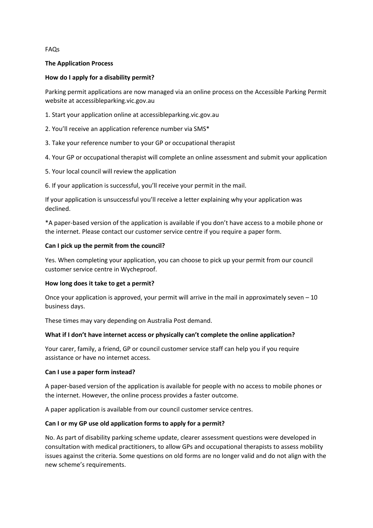FAQs

### **The Application Process**

### **How do I apply for a disability permit?**

Parking permit applications are now managed via an online process on the Accessible Parking Permit website at accessibleparking.vic.gov.au

1. Start your application online at accessibleparking.vic.gov.au

- 2. You'll receive an application reference number via SMS\*
- 3. Take your reference number to your GP or occupational therapist
- 4. Your GP or occupational therapist will complete an online assessment and submit your application
- 5. Your local council will review the application
- 6. If your application is successful, you'll receive your permit in the mail.

If your application is unsuccessful you'll receive a letter explaining why your application was declined.

\*A paper-based version of the application is available if you don't have access to a mobile phone or the internet. Please contact our customer service centre if you require a paper form.

#### **Can I pick up the permit from the council?**

Yes. When completing your application, you can choose to pick up your permit from our council customer service centre in Wycheproof.

#### **How long does it take to get a permit?**

Once your application is approved, your permit will arrive in the mail in approximately seven  $-10$ business days.

These times may vary depending on Australia Post demand.

### **What if I don't have internet access or physically can't complete the online application?**

Your carer, family, a friend, GP or council customer service staff can help you if you require assistance or have no internet access.

#### **Can I use a paper form instead?**

A paper-based version of the application is available for people with no access to mobile phones or the internet. However, the online process provides a faster outcome.

A paper application is available from our council customer service centres.

### **Can I or my GP use old application forms to apply for a permit?**

No. As part of disability parking scheme update, clearer assessment questions were developed in consultation with medical practitioners, to allow GPs and occupational therapists to assess mobility issues against the criteria. Some questions on old forms are no longer valid and do not align with the new scheme's requirements.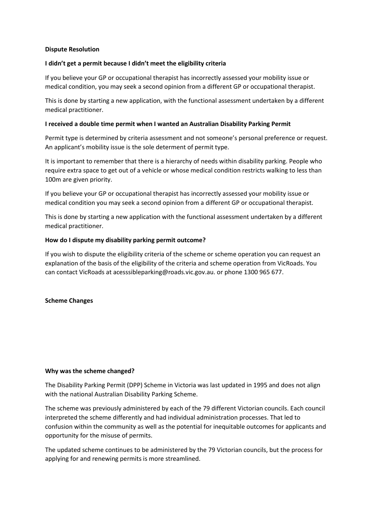### **Dispute Resolution**

## **I didn't get a permit because I didn't meet the eligibility criteria**

If you believe your GP or occupational therapist has incorrectly assessed your mobility issue or medical condition, you may seek a second opinion from a different GP or occupational therapist.

This is done by starting a new application, with the functional assessment undertaken by a different medical practitioner.

### **I received a double time permit when I wanted an Australian Disability Parking Permit**

Permit type is determined by criteria assessment and not someone's personal preference or request. An applicant's mobility issue is the sole determent of permit type.

It is important to remember that there is a hierarchy of needs within disability parking. People who require extra space to get out of a vehicle or whose medical condition restricts walking to less than 100m are given priority.

If you believe your GP or occupational therapist has incorrectly assessed your mobility issue or medical condition you may seek a second opinion from a different GP or occupational therapist.

This is done by starting a new application with the functional assessment undertaken by a different medical practitioner.

### **How do I dispute my disability parking permit outcome?**

If you wish to dispute the eligibility criteria of the scheme or scheme operation you can request an explanation of the basis of the eligibility of the criteria and scheme operation from VicRoads. You can contact VicRoads at acesssibleparking@roads.vic.gov.au. or phone 1300 965 677.

### **Scheme Changes**

### **Why was the scheme changed?**

The Disability Parking Permit (DPP) Scheme in Victoria was last updated in 1995 and does not align with the national Australian Disability Parking Scheme.

The scheme was previously administered by each of the 79 different Victorian councils. Each council interpreted the scheme differently and had individual administration processes. That led to confusion within the community as well as the potential for inequitable outcomes for applicants and opportunity for the misuse of permits.

The updated scheme continues to be administered by the 79 Victorian councils, but the process for applying for and renewing permits is more streamlined.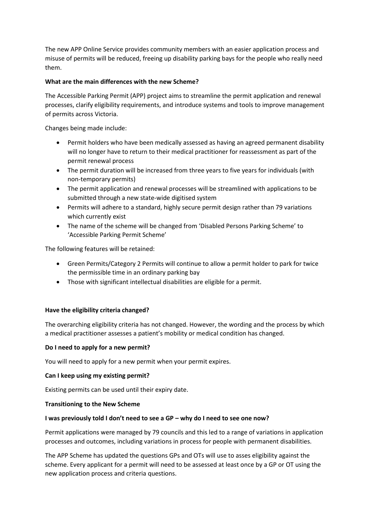The new APP Online Service provides community members with an easier application process and misuse of permits will be reduced, freeing up disability parking bays for the people who really need them.

## **What are the main differences with the new Scheme?**

The Accessible Parking Permit (APP) project aims to streamline the permit application and renewal processes, clarify eligibility requirements, and introduce systems and tools to improve management of permits across Victoria.

Changes being made include:

- Permit holders who have been medically assessed as having an agreed permanent disability will no longer have to return to their medical practitioner for reassessment as part of the permit renewal process
- The permit duration will be increased from three years to five years for individuals (with non-temporary permits)
- The permit application and renewal processes will be streamlined with applications to be submitted through a new state-wide digitised system
- Permits will adhere to a standard, highly secure permit design rather than 79 variations which currently exist
- The name of the scheme will be changed from 'Disabled Persons Parking Scheme' to 'Accessible Parking Permit Scheme'

The following features will be retained:

- Green Permits/Category 2 Permits will continue to allow a permit holder to park for twice the permissible time in an ordinary parking bay
- Those with significant intellectual disabilities are eligible for a permit.

### **Have the eligibility criteria changed?**

The overarching eligibility criteria has not changed. However, the wording and the process by which a medical practitioner assesses a patient's mobility or medical condition has changed.

### **Do I need to apply for a new permit?**

You will need to apply for a new permit when your permit expires.

### **Can I keep using my existing permit?**

Existing permits can be used until their expiry date.

### **Transitioning to the New Scheme**

### **I was previously told I don't need to see a GP – why do I need to see one now?**

Permit applications were managed by 79 councils and this led to a range of variations in application processes and outcomes, including variations in process for people with permanent disabilities.

The APP Scheme has updated the questions GPs and OTs will use to asses eligibility against the scheme. Every applicant for a permit will need to be assessed at least once by a GP or OT using the new application process and criteria questions.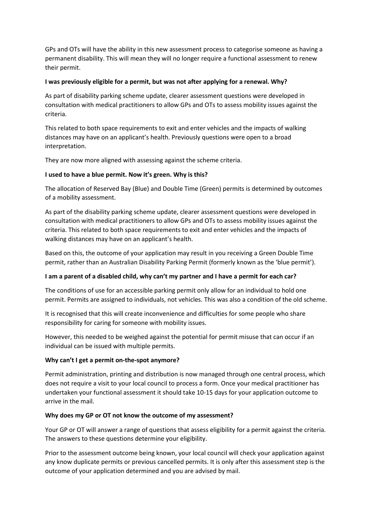GPs and OTs will have the ability in this new assessment process to categorise someone as having a permanent disability. This will mean they will no longer require a functional assessment to renew their permit.

### **I was previously eligible for a permit, but was not after applying for a renewal. Why?**

As part of disability parking scheme update, clearer assessment questions were developed in consultation with medical practitioners to allow GPs and OTs to assess mobility issues against the criteria.

This related to both space requirements to exit and enter vehicles and the impacts of walking distances may have on an applicant's health. Previously questions were open to a broad interpretation.

They are now more aligned with assessing against the scheme criteria.

## **I used to have a blue permit. Now it's green. Why is this?**

The allocation of Reserved Bay (Blue) and Double Time (Green) permits is determined by outcomes of a mobility assessment.

As part of the disability parking scheme update, clearer assessment questions were developed in consultation with medical practitioners to allow GPs and OTs to assess mobility issues against the criteria. This related to both space requirements to exit and enter vehicles and the impacts of walking distances may have on an applicant's health.

Based on this, the outcome of your application may result in you receiving a Green Double Time permit, rather than an Australian Disability Parking Permit (formerly known as the 'blue permit').

# **I am a parent of a disabled child, why can't my partner and I have a permit for each car?**

The conditions of use for an accessible parking permit only allow for an individual to hold one permit. Permits are assigned to individuals, not vehicles. This was also a condition of the old scheme.

It is recognised that this will create inconvenience and difficulties for some people who share responsibility for caring for someone with mobility issues.

However, this needed to be weighed against the potential for permit misuse that can occur if an individual can be issued with multiple permits.

### **Why can't I get a permit on-the-spot anymore?**

Permit administration, printing and distribution is now managed through one central process, which does not require a visit to your local council to process a form. Once your medical practitioner has undertaken your functional assessment it should take 10-15 days for your application outcome to arrive in the mail.

### **Why does my GP or OT not know the outcome of my assessment?**

Your GP or OT will answer a range of questions that assess eligibility for a permit against the criteria. The answers to these questions determine your eligibility.

Prior to the assessment outcome being known, your local council will check your application against any know duplicate permits or previous cancelled permits. It is only after this assessment step is the outcome of your application determined and you are advised by mail.